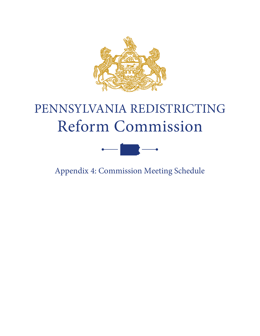

## PENNSYLVANIA REDISTRICTING Reform Commission



Appendix 4: Commission Meeting Schedule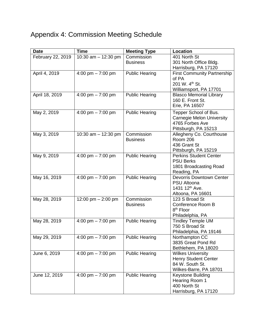## Appendix 4: Commission Meeting Schedule

| <b>Date</b>       | <b>Time</b>           | <b>Meeting Type</b>   | Location                                   |
|-------------------|-----------------------|-----------------------|--------------------------------------------|
| February 22, 2019 | 10:30 am - 12:30 pm   | Commission            | 401 North St                               |
|                   |                       | <b>Business</b>       | 301 North Office Bldg.                     |
|                   |                       |                       | Harrisburg, PA 17120                       |
| April 4, 2019     | 4:00 pm $- 7:00$ pm   | <b>Public Hearing</b> | <b>First Community Partnership</b>         |
|                   |                       |                       | of PA                                      |
|                   |                       |                       | 201 W. 4 <sup>th</sup> St.                 |
|                   |                       |                       | Williamsport, PA 17701                     |
| April 18, 2019    | 4:00 pm $- 7:00$ pm   | <b>Public Hearing</b> | <b>Blasco Memorial Library</b>             |
|                   |                       |                       | 160 E. Front St.                           |
|                   |                       |                       | Erie, PA 16507                             |
| May 2, 2019       | 4:00 pm $- 7:00$ pm   | <b>Public Hearing</b> | Tepper School of Bus.                      |
|                   |                       |                       | <b>Carnegie Melon University</b>           |
|                   |                       |                       | 4765 Forbes Ave                            |
|                   |                       |                       | Pittsburgh, PA 15213                       |
| May 3, 2019       | 10:30 am $-$ 12:30 pm | Commission            | Allegheny Co. Courthouse                   |
|                   |                       | <b>Business</b>       | <b>Room 206</b>                            |
|                   |                       |                       | 436 Grant St                               |
|                   |                       |                       | Pittsburgh, PA 15219                       |
| May 9, 2019       | 4:00 pm $- 7:00$ pm   | <b>Public Hearing</b> | <b>Perkins Student Center</b>              |
|                   |                       |                       | <b>PSU Berks</b>                           |
|                   |                       |                       | 1801 Broadcasting Road                     |
|                   |                       |                       | Reading, PA                                |
| May 16, 2019      | 4:00 pm $- 7:00$ pm   | <b>Public Hearing</b> | <b>Devorris Downtown Center</b>            |
|                   |                       |                       | <b>PSU Altoona</b>                         |
|                   |                       |                       | 1431 12 <sup>th</sup> Ave.                 |
|                   |                       | Commission            | Altoona, PA 16601<br>123 S Broad St        |
| May 28, 2019      | 12:00 pm $-$ 2:00 pm  |                       |                                            |
|                   |                       | <b>Business</b>       | Conference Room B<br>8 <sup>th</sup> Floor |
|                   |                       |                       | Philadelphia, PA                           |
| May 28, 2019      | 4:00 pm $- 7:00$ pm   | <b>Public Hearing</b> | <b>Tindley Temple UM</b>                   |
|                   |                       |                       | 750 S Broad St                             |
|                   |                       |                       | Philadelphia, PA 19146                     |
| May 29, 2019      | 4:00 pm $- 7:00$ pm   | <b>Public Hearing</b> | Northampton CC                             |
|                   |                       |                       | 3835 Great Pond Rd                         |
|                   |                       |                       | Bethlehem, PA 18020                        |
| June 6, 2019      | 4:00 pm $- 7:00$ pm   | <b>Public Hearing</b> | <b>Wilkes University</b>                   |
|                   |                       |                       | <b>Henry Student Center</b>                |
|                   |                       |                       | 84 W. South St.                            |
|                   |                       |                       | Wilkes-Barre, PA 18701                     |
| June 12, 2019     | 4:00 pm $- 7:00$ pm   | <b>Public Hearing</b> | Keystone Building                          |
|                   |                       |                       | Hearing Room 1                             |
|                   |                       |                       | 400 North St                               |
|                   |                       |                       | Harrisburg, PA 17120                       |